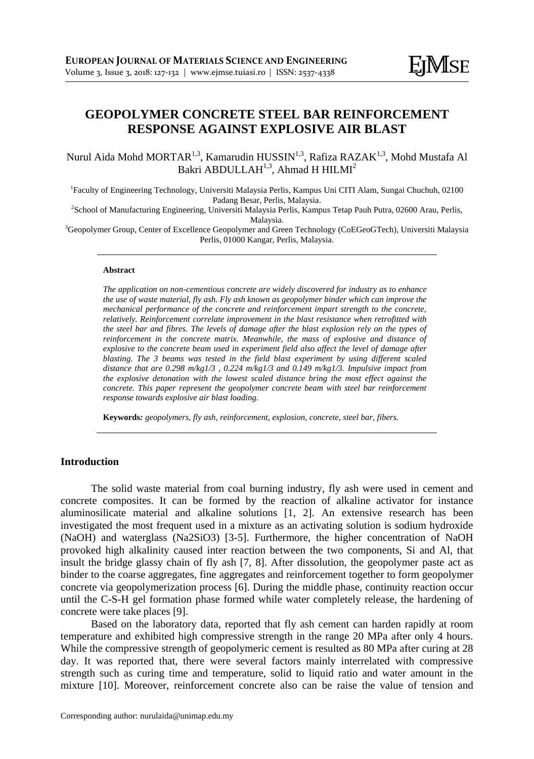# **GEOPOLYMER CONCRETE STEEL BAR REINFORCEMENT RESPONSE AGAINST EXPLOSIVE AIR BLAST**

Nurul Aida Mohd MORTAR<sup>1,3</sup>, Kamarudin HUSSIN<sup>1,3</sup>, Rafiza RAZAK<sup>1,3</sup>, Mohd Mustafa Al Bakri ABDULLAH $^{1,3}$ , Ahmad H HILMI $^2$ 

1 Faculty of Engineering Technology, Universiti Malaysia Perlis, Kampus Uni CITI Alam, Sungai Chuchuh, 02100 Padang Besar, Perlis, Malaysia.

2 School of Manufacturing Engineering, Universiti Malaysia Perlis, Kampus Tetap Pauh Putra, 02600 Arau, Perlis, Malaysia.

<sup>3</sup>Geopolymer Group, Center of Excellence Geopolymer and Green Technology (CoEGeoGTech), Universiti Malaysia Perlis, 01000 Kangar, Perlis, Malaysia.

#### **Abstract**

*The application on non-cementious concrete are widely discovered for industry as to enhance the use of waste material, fly ash. Fly ash known as geopolymer binder which can improve the mechanical performance of the concrete and reinforcement impart strength to the concrete, relatively. Reinforcement correlate improvement in the blast resistance when retrofitted with the steel bar and fibres. The levels of damage after the blast explosion rely on the types of reinforcement in the concrete matrix. Meanwhile, the mass of explosive and distance of explosive to the concrete beam used in experiment field also affect the level of damage after blasting. The 3 beams was tested in the field blast experiment by using different scaled distance that are 0.298 m/kg1/3 , 0.224 m/kg1/3 and 0.149 m/kg1/3. Impulsive impact from the explosive detonation with the lowest scaled distance bring the most effect against the concrete. This paper represent the geopolymer concrete beam with steel bar reinforcement response towards explosive air blast loading.*

**Keywords***: geopolymers, fly ash, reinforcement, explosion, concrete, steel bar, fibers.*

# **Introduction**

The solid waste material from coal burning industry, fly ash were used in cement and concrete composites. It can be formed by the reaction of alkaline activator for instance aluminosilicate material and alkaline solutions [1, 2]. An extensive research has been investigated the most frequent used in a mixture as an activating solution is sodium hydroxide (NaOH) and waterglass (Na2SiO3) [3-5]. Furthermore, the higher concentration of NaOH provoked high alkalinity caused inter reaction between the two components, Si and Al, that insult the bridge glassy chain of fly ash [7, 8]. After dissolution, the geopolymer paste act as binder to the coarse aggregates, fine aggregates and reinforcement together to form geopolymer concrete via geopolymerization process [6]. During the middle phase, continuity reaction occur until the C-S-H gel formation phase formed while water completely release, the hardening of concrete were take places [9].

Based on the laboratory data, reported that fly ash cement can harden rapidly at room temperature and exhibited high compressive strength in the range 20 MPa after only 4 hours. While the compressive strength of geopolymeric cement is resulted as 80 MPa after curing at 28 day. It was reported that, there were several factors mainly interrelated with compressive strength such as curing time and temperature, solid to liquid ratio and water amount in the mixture [10]. Moreover, reinforcement concrete also can be raise the value of tension and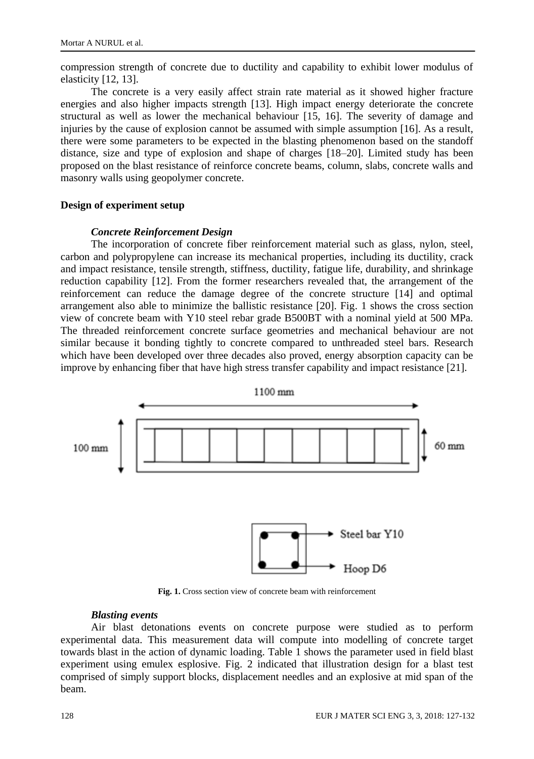compression strength of concrete due to ductility and capability to exhibit lower modulus of elasticity [12, 13].

The concrete is a very easily affect strain rate material as it showed higher fracture energies and also higher impacts strength [13]. High impact energy deteriorate the concrete structural as well as lower the mechanical behaviour [15, 16]. The severity of damage and injuries by the cause of explosion cannot be assumed with simple assumption [16]. As a result, there were some parameters to be expected in the blasting phenomenon based on the standoff distance, size and type of explosion and shape of charges [18–20]. Limited study has been proposed on the blast resistance of reinforce concrete beams, column, slabs, concrete walls and masonry walls using geopolymer concrete.

# **Design of experiment setup**

# *Concrete Reinforcement Design*

The incorporation of concrete fiber reinforcement material such as glass, nylon, steel, carbon and polypropylene can increase its mechanical properties, including its ductility, crack and impact resistance, tensile strength, stiffness, ductility, fatigue life, durability, and shrinkage reduction capability [12]. From the former researchers revealed that, the arrangement of the reinforcement can reduce the damage degree of the concrete structure [14] and optimal arrangement also able to minimize the ballistic resistance [20]. Fig. 1 shows the cross section view of concrete beam with Y10 steel rebar grade B500BT with a nominal yield at 500 MPa. The threaded reinforcement concrete surface geometries and mechanical behaviour are not similar because it bonding tightly to concrete compared to unthreaded steel bars. Research which have been developed over three decades also proved, energy absorption capacity can be improve by enhancing fiber that have high stress transfer capability and impact resistance [21].



**Fig. 1.** Cross section view of concrete beam with reinforcement

### *Blasting events*

Air blast detonations events on concrete purpose were studied as to perform experimental data. This measurement data will compute into modelling of concrete target towards blast in the action of dynamic loading. Table 1 shows the parameter used in field blast experiment using emulex esplosive. Fig. 2 indicated that illustration design for a blast test comprised of simply support blocks, displacement needles and an explosive at mid span of the beam.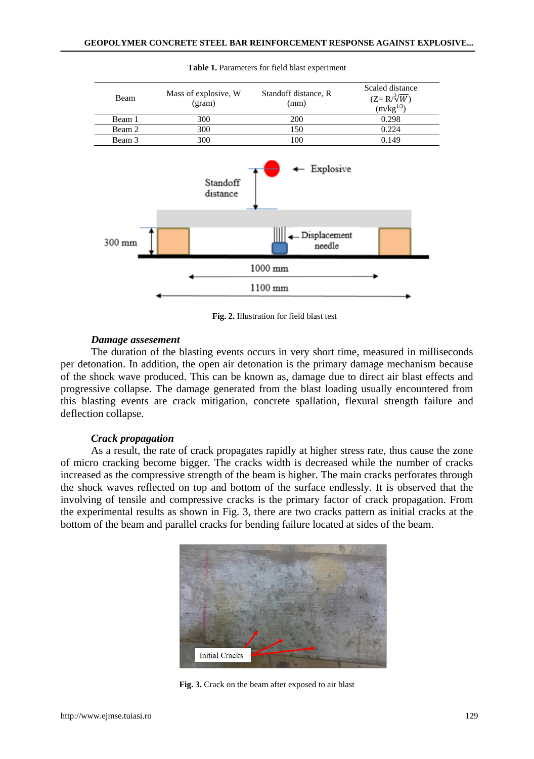

#### **Table 1.** Parameters for field blast experiment

**Fig. 2.** Illustration for field blast test

### *Damage assesement*

The duration of the blasting events occurs in very short time, measured in milliseconds per detonation. In addition, the open air detonation is the primary damage mechanism because of the shock wave produced. This can be known as, damage due to direct air blast effects and progressive collapse. The damage generated from the blast loading usually encountered from this blasting events are crack mitigation, concrete spallation, flexural strength failure and deflection collapse.

### *Crack propagation*

As a result, the rate of crack propagates rapidly at higher stress rate, thus cause the zone of micro cracking become bigger. The cracks width is decreased while the number of cracks increased as the compressive strength of the beam is higher. The main cracks perforates through the shock waves reflected on top and bottom of the surface endlessly. It is observed that the involving of tensile and compressive cracks is the primary factor of crack propagation. From the experimental results as shown in Fig. 3, there are two cracks pattern as initial cracks at the bottom of the beam and parallel cracks for bending failure located at sides of the beam.



**Fig. 3.** Crack on the beam after exposed to air blast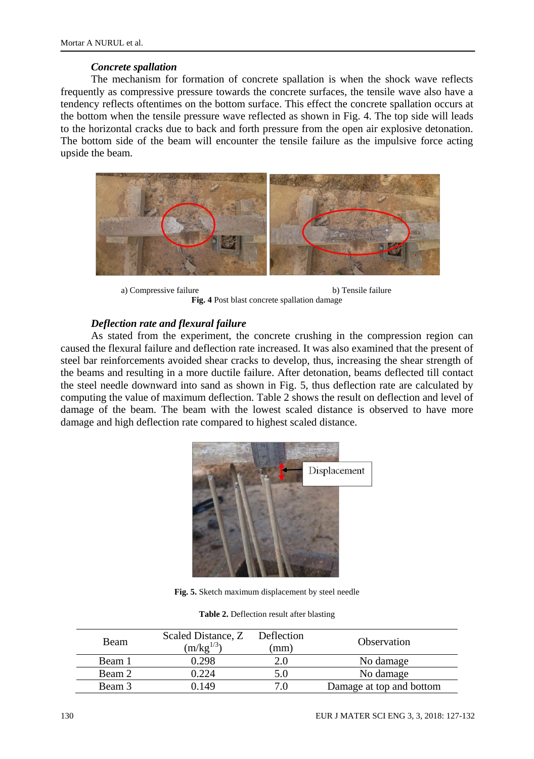# *Concrete spallation*

The mechanism for formation of concrete spallation is when the shock wave reflects frequently as compressive pressure towards the concrete surfaces, the tensile wave also have a tendency reflects oftentimes on the bottom surface. This effect the concrete spallation occurs at the bottom when the tensile pressure wave reflected as shown in Fig. 4. The top side will leads to the horizontal cracks due to back and forth pressure from the open air explosive detonation. The bottom side of the beam will encounter the tensile failure as the impulsive force acting upside the beam.



a) Compressive failure b) Tensile failure **Fig. 4** Post blast concrete spallation damage

# *Deflection rate and flexural failure*

As stated from the experiment, the concrete crushing in the compression region can caused the flexural failure and deflection rate increased. It was also examined that the present of steel bar reinforcements avoided shear cracks to develop, thus, increasing the shear strength of the beams and resulting in a more ductile failure. After detonation, beams deflected till contact the steel needle downward into sand as shown in Fig. 5, thus deflection rate are calculated by computing the value of maximum deflection. Table 2 shows the result on deflection and level of damage of the beam. The beam with the lowest scaled distance is observed to have more damage and high deflection rate compared to highest scaled distance.



**Fig. 5.** Sketch maximum displacement by steel needle

**Table 2.** Deflection result after blasting

| Beam   | Scaled Distance, Z<br>$(m/kg^{1/3})$ | Deflection<br>(mm | <b>Observation</b>       |
|--------|--------------------------------------|-------------------|--------------------------|
| Beam 1 | 0.298                                |                   | No damage                |
| Beam 2 | 0.224                                |                   | No damage                |
| Beam 3 | 1.149                                |                   | Damage at top and bottom |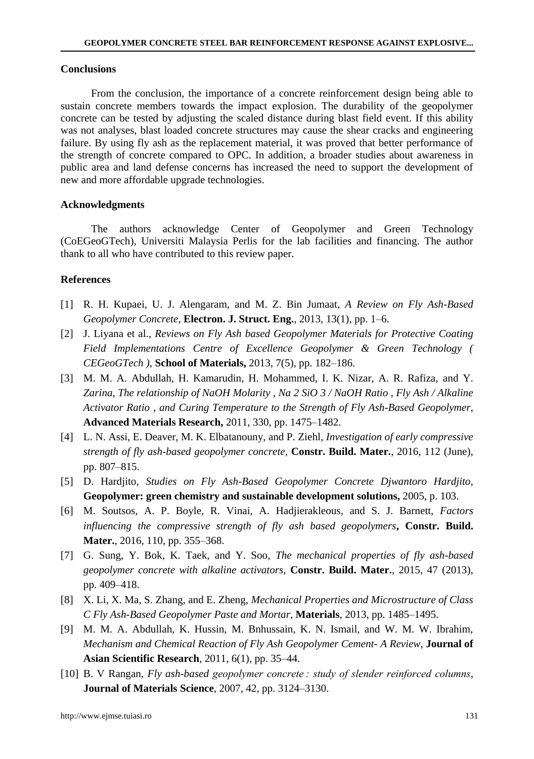#### **Conclusions**

From the conclusion, the importance of a concrete reinforcement design being able to sustain concrete members towards the impact explosion. The durability of the geopolymer concrete can be tested by adjusting the scaled distance during blast field event. If this ability was not analyses, blast loaded concrete structures may cause the shear cracks and engineering failure. By using fly ash as the replacement material, it was proved that better performance of the strength of concrete compared to OPC. In addition, a broader studies about awareness in public area and land defense concerns has increased the need to support the development of new and more affordable upgrade technologies.

#### **Acknowledgments**

The authors acknowledge Center of Geopolymer and Green Technology (CoEGeoGTech), Universiti Malaysia Perlis for the lab facilities and financing. The author thank to all who have contributed to this review paper.

# **References**

- [1] R. H. Kupaei, U. J. Alengaram, and M. Z. Bin Jumaat, *A Review on Fly Ash-Based Geopolymer Concrete*, **Electron. J. Struct. Eng.**, 2013, 13(1), pp. 1–6.
- [2] J. Liyana et al., *Reviews on Fly Ash based Geopolymer Materials for Protective Coating Field Implementations Centre of Excellence Geopolymer & Green Technology ( CEGeoGTech ),* **School of Materials,** 2013, 7(5), pp. 182–186.
- [3] M. M. A. Abdullah, H. Kamarudin, H. Mohammed, I. K. Nizar, A. R. Rafiza, and Y. *Zarina, The relationship of NaOH Molarity , Na 2 SiO 3 / NaOH Ratio , Fly Ash / Alkaline Activator Ratio , and Curing Temperature to the Strength of Fly Ash-Based Geopolymer,* **Advanced Materials Research,** 2011, 330, pp. 1475–1482.
- [4] L. N. Assi, E. Deaver, M. K. Elbatanouny, and P. Ziehl, *Investigation of early compressive strength of fly ash-based geopolymer concrete,* **Constr. Build. Mater.**, 2016, 112 (June), pp. 807–815.
- [5] D. Hardjito, *Studies on Fly Ash-Based Geopolymer Concrete Djwantoro Hardjito*, **Geopolymer: green chemistry and sustainable development solutions,** 2005, p. 103.
- [6] M. Soutsos, A. P. Boyle, R. Vinai, A. Hadjierakleous, and S. J. Barnett, *Factors influencing the compressive strength of fly ash based geopolymers***, Constr. Build. Mater.**, 2016, 110, pp. 355–368.
- [7] G. Sung, Y. Bok, K. Taek, and Y. Soo, *The mechanical properties of fly ash-based geopolymer concrete with alkaline activators,* **Constr. Build. Mater.**, 2015, 47 (2013), pp. 409–418.
- [8] X. Li, X. Ma, S. Zhang, and E. Zheng, *Mechanical Properties and Microstructure of Class C Fly Ash-Based Geopolymer Paste and Mortar*, **Materials**, 2013, pp. 1485–1495.
- [9] M. M. A. Abdullah, K. Hussin, M. Bnhussain, K. N. Ismail, and W. M. W. Ibrahim, *Mechanism and Chemical Reaction of Fly Ash Geopolymer Cement- A Review*, **Journal of Asian Scientific Research**, 2011, 6(1), pp. 35–44.
- [10] B. V Rangan, *Fly ash-based geopolymer concrete : study of slender reinforced columns*, **Journal of Materials Science**, 2007, 42, pp. 3124–3130.